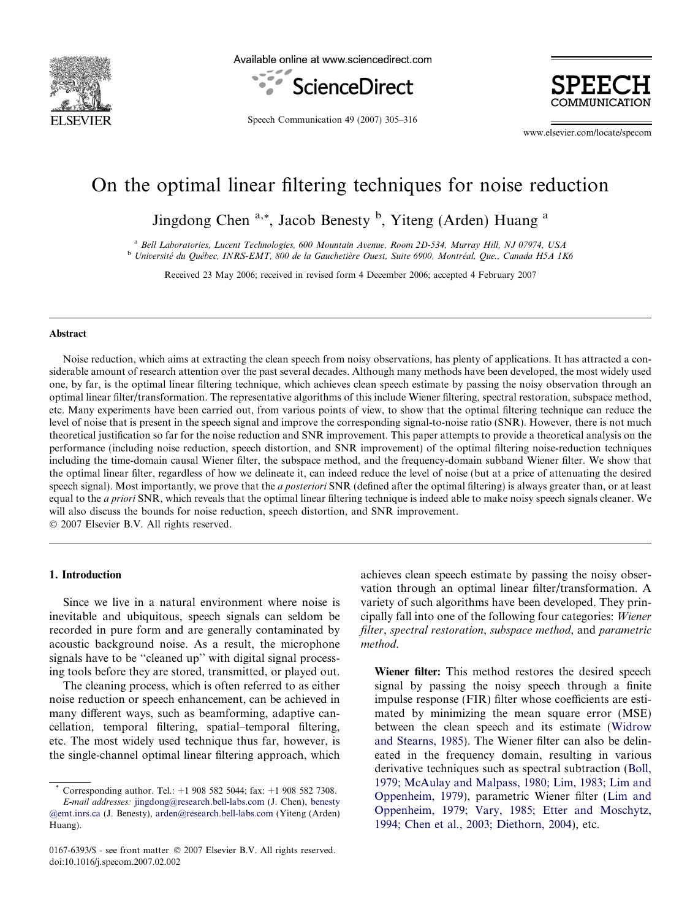

Available online at www.sciencedirect.com



Speech Communication 49 (2007) 305–316

www.elsevier.com/locate/specom

# On the optimal linear filtering techniques for noise reduction

Jingdong Chen <sup>a,\*</sup>, Jacob Benesty <sup>b</sup>, Yiteng (Arden) Huang <sup>a</sup>

<sup>a</sup> Bell Laboratories, Lucent Technologies, 600 Mountain Avenue, Room 2D-534, Murray Hill, NJ 07974, USA <sup>b</sup> Université du Québec, INRS-EMT, 800 de la Gauchetière Ouest, Suite 6900, Montréal, Que., Canada H5A 1K6

Received 23 May 2006; received in revised form 4 December 2006; accepted 4 February 2007

#### Abstract

Noise reduction, which aims at extracting the clean speech from noisy observations, has plenty of applications. It has attracted a considerable amount of research attention over the past several decades. Although many methods have been developed, the most widely used one, by far, is the optimal linear filtering technique, which achieves clean speech estimate by passing the noisy observation through an optimal linear filter/transformation. The representative algorithms of this include Wiener filtering, spectral restoration, subspace method, etc. Many experiments have been carried out, from various points of view, to show that the optimal filtering technique can reduce the level of noise that is present in the speech signal and improve the corresponding signal-to-noise ratio (SNR). However, there is not much theoretical justification so far for the noise reduction and SNR improvement. This paper attempts to provide a theoretical analysis on the performance (including noise reduction, speech distortion, and SNR improvement) of the optimal filtering noise-reduction techniques including the time-domain causal Wiener filter, the subspace method, and the frequency-domain subband Wiener filter. We show that the optimal linear filter, regardless of how we delineate it, can indeed reduce the level of noise (but at a price of attenuating the desired speech signal). Most importantly, we prove that the a posteriori SNR (defined after the optimal filtering) is always greater than, or at least equal to the *a priori* SNR, which reveals that the optimal linear filtering technique is indeed able to make noisy speech signals cleaner. We will also discuss the bounds for noise reduction, speech distortion, and SNR improvement. © 2007 Elsevier B.V. All rights reserved.

## 1. Introduction

Since we live in a natural environment where noise is inevitable and ubiquitous, speech signals can seldom be recorded in pure form and are generally contaminated by acoustic background noise. As a result, the microphone signals have to be "cleaned up" with digital signal processing tools before they are stored, transmitted, or played out.

The cleaning process, which is often referred to as either noise reduction or speech enhancement, can be achieved in many different ways, such as beamforming, adaptive cancellation, temporal filtering, spatial–temporal filtering, etc. The most widely used technique thus far, however, is the single-channel optimal linear filtering approach, which

achieves clean speech estimate by passing the noisy observation through an optimal linear filter/transformation. A variety of such algorithms have been developed. They principally fall into one of the following four categories: Wiener filter, spectral restoration, subspace method, and parametric method.

Wiener filter: This method restores the desired speech signal by passing the noisy speech through a finite impulse response (FIR) filter whose coefficients are estimated by minimizing the mean square error (MSE) between the clean speech and its estimate ([Widrow](#page-11-0) [and Stearns, 1985](#page-11-0)). The Wiener filter can also be delineated in the frequency domain, resulting in various derivative techniques such as spectral subtraction [\(Boll,](#page-10-0) [1979; McAulay and Malpass, 1980; Lim, 1983; Lim and](#page-10-0) [Oppenheim, 1979](#page-10-0)), parametric Wiener filter [\(Lim and](#page-11-0) [Oppenheim, 1979; Vary, 1985; Etter and Moschytz,](#page-11-0) [1994; Chen et al., 2003; Diethorn, 2004\)](#page-11-0), etc.

Corresponding author. Tel.: +1 908 582 5044; fax: +1 908 582 7308.

E-mail addresses: [jingdong@research.bell-labs.com](mailto:jingdong@research.bell-labs.com) (J. Chen), [benesty](mailto:benesty @emt.inrs.ca) [@emt.inrs.ca](mailto:benesty @emt.inrs.ca) (J. Benesty), [arden@research.bell-labs.com](mailto:arden@research.bell-labs.com) (Yiteng (Arden) Huang).

<sup>0167-6393/\$ -</sup> see front matter © 2007 Elsevier B.V. All rights reserved. doi:10.1016/j.specom.2007.02.002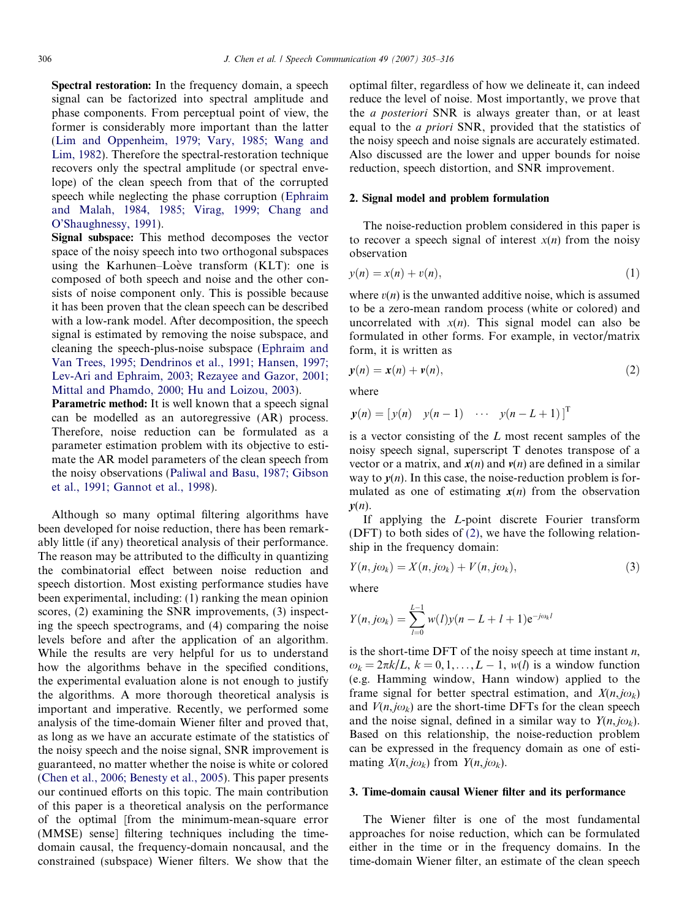<span id="page-1-0"></span>Spectral restoration: In the frequency domain, a speech signal can be factorized into spectral amplitude and phase components. From perceptual point of view, the former is considerably more important than the latter ([Lim and Oppenheim, 1979; Vary, 1985; Wang and](#page-11-0) [Lim, 1982\)](#page-11-0). Therefore the spectral-restoration technique recovers only the spectral amplitude (or spectral envelope) of the clean speech from that of the corrupted speech while neglecting the phase corruption [\(Ephraim](#page-10-0) [and Malah, 1984, 1985; Virag, 1999; Chang and](#page-10-0) [O'Shaughnessy, 1991\)](#page-10-0).

Signal subspace: This method decomposes the vector space of the noisy speech into two orthogonal subspaces using the Karhunen–Loève transform  $(KLT)$ : one is composed of both speech and noise and the other consists of noise component only. This is possible because it has been proven that the clean speech can be described with a low-rank model. After decomposition, the speech signal is estimated by removing the noise subspace, and cleaning the speech-plus-noise subspace ([Ephraim and](#page-10-0) [Van Trees, 1995; Dendrinos et al., 1991; Hansen, 1997;](#page-10-0) [Lev-Ari and Ephraim, 2003; Rezayee and Gazor, 2001;](#page-10-0) [Mittal and Phamdo, 2000; Hu and Loizou, 2003\)](#page-10-0).

Parametric method: It is well known that a speech signal can be modelled as an autoregressive (AR) process. Therefore, noise reduction can be formulated as a parameter estimation problem with its objective to estimate the AR model parameters of the clean speech from the noisy observations ([Paliwal and Basu, 1987; Gibson](#page-11-0) [et al., 1991; Gannot et al., 1998\)](#page-11-0).

Although so many optimal filtering algorithms have been developed for noise reduction, there has been remarkably little (if any) theoretical analysis of their performance. The reason may be attributed to the difficulty in quantizing the combinatorial effect between noise reduction and speech distortion. Most existing performance studies have been experimental, including: (1) ranking the mean opinion scores, (2) examining the SNR improvements, (3) inspecting the speech spectrograms, and (4) comparing the noise levels before and after the application of an algorithm. While the results are very helpful for us to understand how the algorithms behave in the specified conditions, the experimental evaluation alone is not enough to justify the algorithms. A more thorough theoretical analysis is important and imperative. Recently, we performed some analysis of the time-domain Wiener filter and proved that, as long as we have an accurate estimate of the statistics of the noisy speech and the noise signal, SNR improvement is guaranteed, no matter whether the noise is white or colored [\(Chen et al., 2006; Benesty et al., 2005\)](#page-10-0). This paper presents our continued efforts on this topic. The main contribution of this paper is a theoretical analysis on the performance of the optimal [from the minimum-mean-square error (MMSE) sense] filtering techniques including the timedomain causal, the frequency-domain noncausal, and the constrained (subspace) Wiener filters. We show that the

optimal filter, regardless of how we delineate it, can indeed reduce the level of noise. Most importantly, we prove that the a posteriori SNR is always greater than, or at least equal to the a priori SNR, provided that the statistics of the noisy speech and noise signals are accurately estimated. Also discussed are the lower and upper bounds for noise reduction, speech distortion, and SNR improvement.

#### 2. Signal model and problem formulation

The noise-reduction problem considered in this paper is to recover a speech signal of interest  $x(n)$  from the noisy observation

$$
y(n) = x(n) + v(n),\tag{1}
$$

where  $v(n)$  is the unwanted additive noise, which is assumed to be a zero-mean random process (white or colored) and uncorrelated with  $x(n)$ . This signal model can also be formulated in other forms. For example, in vector/matrix form, it is written as

$$
y(n) = x(n) + v(n),\tag{2}
$$

where

$$
\mathbf{y}(n) = [y(n) \quad y(n-1) \quad \cdots \quad y(n-L+1)]^{\mathrm{T}}
$$

is a vector consisting of the L most recent samples of the noisy speech signal, superscript T denotes transpose of a vector or a matrix, and  $x(n)$  and  $y(n)$  are defined in a similar way to  $v(n)$ . In this case, the noise-reduction problem is formulated as one of estimating  $x(n)$  from the observation  $\nu(n)$ .

If applying the L-point discrete Fourier transform (DFT) to both sides of (2), we have the following relationship in the frequency domain:

$$
Y(n,j\omega_k) = X(n,j\omega_k) + V(n,j\omega_k),
$$
\n(3)

where

$$
Y(n,j\omega_k) = \sum_{l=0}^{L-1} w(l)y(n-L+l+1)e^{-j\omega_k l}
$$

is the short-time DFT of the noisy speech at time instant  $n$ ,  $\omega_k = 2\pi k/L$ ,  $k = 0, 1, \ldots, L - 1$ ,  $w(l)$  is a window function (e.g. Hamming window, Hann window) applied to the frame signal for better spectral estimation, and  $X(n,j\omega_k)$ and  $V(n,j\omega_k)$  are the short-time DFTs for the clean speech and the noise signal, defined in a similar way to  $Y(n,i\omega_k)$ . Based on this relationship, the noise-reduction problem can be expressed in the frequency domain as one of estimating  $X(n,j\omega_k)$  from  $Y(n,j\omega_k)$ .

## 3. Time-domain causal Wiener filter and its performance

The Wiener filter is one of the most fundamental approaches for noise reduction, which can be formulated either in the time or in the frequency domains. In the time-domain Wiener filter, an estimate of the clean speech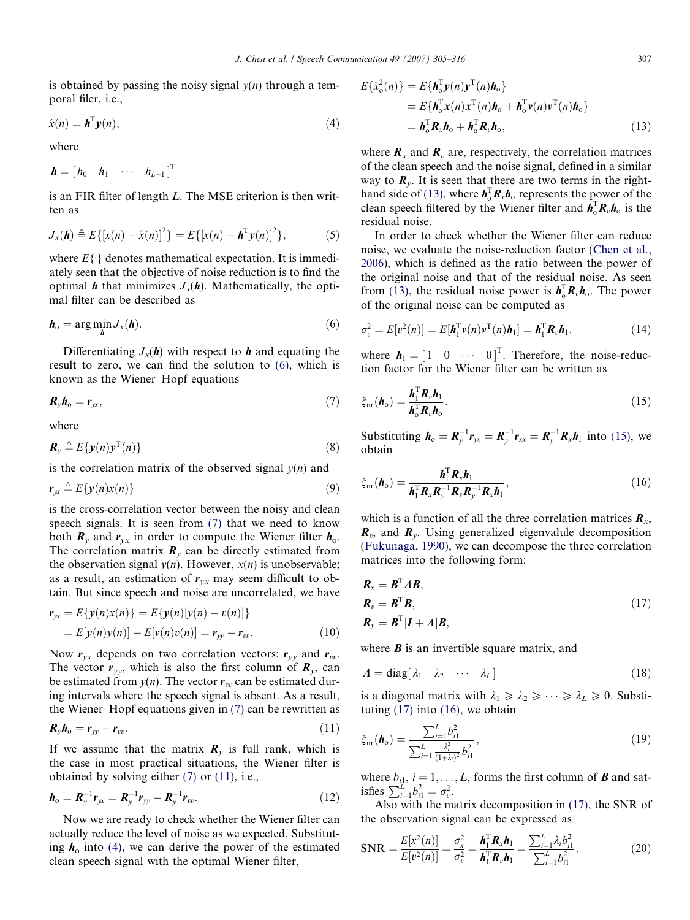<span id="page-2-0"></span>is obtained by passing the noisy signal  $y(n)$  through a temporal filer, i.e.,

$$
\hat{x}(n) = \mathbf{h}^{\mathrm{T}} \mathbf{y}(n),\tag{4}
$$

where

$$
\boldsymbol{h} = [h_0 \quad h_1 \quad \cdots \quad h_{L-1}]^T
$$

is an FIR filter of length L. The MSE criterion is then written as

$$
J_x(\boldsymbol{h}) \triangleq E\{[x(n) - \hat{x}(n)]^2\} = E\{[x(n) - \boldsymbol{h}^T \boldsymbol{y}(n)]^2\},
$$
 (5)

where  $E\{\cdot\}$  denotes mathematical expectation. It is immediately seen that the objective of noise reduction is to find the optimal h that minimizes  $J_x(h)$ . Mathematically, the optimal filter can be described as

$$
h_{o} = \arg\min_{h} J_{x}(h). \tag{6}
$$

Differentiating  $J_x(h)$  with respect to h and equating the result to zero, we can find the solution to (6), which is known as the Wiener–Hopf equations

$$
\mathbf{R}_{y}\mathbf{h}_{o}=\mathbf{r}_{yx},\tag{7}
$$

where

$$
\boldsymbol{R}_{y} \triangleq E\{\boldsymbol{y}(n)\boldsymbol{y}^{\mathrm{T}}(n)\}\tag{8}
$$

is the correlation matrix of the observed signal  $y(n)$  and

$$
\mathbf{r}_{yx} \triangleq E\{\mathbf{y}(n)x(n)\}\tag{9}
$$

is the cross-correlation vector between the noisy and clean speech signals. It is seen from (7) that we need to know both  $\mathbf{R}_y$  and  $\mathbf{r}_{yx}$  in order to compute the Wiener filter  $\mathbf{h}_{o}$ . The correlation matrix  $\mathbf{R}_{v}$  can be directly estimated from the observation signal  $y(n)$ . However,  $x(n)$  is unobservable; as a result, an estimation of  $r_{vx}$  may seem difficult to obtain. But since speech and noise are uncorrelated, we have

$$
\mathbf{r}_{yx} = E\{\mathbf{y}(n)x(n)\} = E\{\mathbf{y}(n)[y(n) - v(n)]\}
$$
  
=  $E[\mathbf{y}(n)y(n)] - E[\mathbf{v}(n)v(n)] = \mathbf{r}_{yy} - \mathbf{r}_{vv}.$  (10)

Now  $r_{vx}$  depends on two correlation vectors:  $r_{vv}$  and  $r_{vv}$ . The vector  $r_{yy}$ , which is also the first column of  $R_y$ , can be estimated from  $y(n)$ . The vector  $r_{vv}$  can be estimated during intervals where the speech signal is absent. As a result, the Wiener–Hopf equations given in (7) can be rewritten as

$$
\boldsymbol{R}_{y}\boldsymbol{h}_{o}=\boldsymbol{r}_{yy}-\boldsymbol{r}_{vv}.\tag{11}
$$

If we assume that the matrix  $\mathbf{R}_{y}$  is full rank, which is the case in most practical situations, the Wiener filter is obtained by solving either (7) or (11), i.e.,

$$
h_{o} = R_{y}^{-1} r_{yx} = R_{y}^{-1} r_{yy} - R_{y}^{-1} r_{vv}.
$$
 (12)

Now we are ready to check whether the Wiener filter can actually reduce the level of noise as we expected. Substituting  $h_0$  into (4), we can derive the power of the estimated clean speech signal with the optimal Wiener filter,

$$
E\{\hat{x}_{o}^{2}(n)\} = E\{\boldsymbol{h}_{o}^{\mathrm{T}}\boldsymbol{y}(n)\boldsymbol{y}^{\mathrm{T}}(n)\boldsymbol{h}_{o}\}
$$
  
\n
$$
= E\{\boldsymbol{h}_{o}^{\mathrm{T}}\boldsymbol{x}(n)\boldsymbol{x}^{\mathrm{T}}(n)\boldsymbol{h}_{o} + \boldsymbol{h}_{o}^{\mathrm{T}}\boldsymbol{v}(n)\boldsymbol{v}^{\mathrm{T}}(n)\boldsymbol{h}_{o}\}
$$
  
\n
$$
= \boldsymbol{h}_{o}^{\mathrm{T}}\boldsymbol{R}_{x}\boldsymbol{h}_{o} + \boldsymbol{h}_{o}^{\mathrm{T}}\boldsymbol{R}_{v}\boldsymbol{h}_{o},
$$
\n(13)

where  $\mathbf{R}_x$  and  $\mathbf{R}_v$  are, respectively, the correlation matrices of the clean speech and the noise signal, defined in a similar way to  $\mathbf{R}_{v}$ . It is seen that there are two terms in the righthand side of (13), where  $h_0^T R_x h_0$  represents the power of the clean speech filtered by the Wiener filter and  $h_0^{\mathrm{T}} R_v h_0$  is the residual noise.

In order to check whether the Wiener filter can reduce noise, we evaluate the noise-reduction factor [\(Chen et al.,](#page-10-0) [2006](#page-10-0)), which is defined as the ratio between the power of the original noise and that of the residual noise. As seen from (13), the residual noise power is  $h_0^T R_v h_0$ . The power of the original noise can be computed as

$$
\sigma_v^2 = E[v^2(n)] = E[\boldsymbol{h}_1^T \boldsymbol{v}(n) \boldsymbol{v}^T(n) \boldsymbol{h}_1] = \boldsymbol{h}_1^T \boldsymbol{R}_v \boldsymbol{h}_1, \tag{14}
$$

where  $h_1 = \begin{bmatrix} 1 & 0 & \cdots & 0 \end{bmatrix}^T$ . Therefore, the noise-reduction factor for the Wiener filter can be written as

$$
\zeta_{\rm nr}(\boldsymbol{h}_{\rm o}) = \frac{\boldsymbol{h}_1^{\rm T} \boldsymbol{R}_v \boldsymbol{h}_1}{\boldsymbol{h}_0^{\rm T} \boldsymbol{R}_v \boldsymbol{h}_0}.
$$
\n(15)

Substituting  $\mathbf{h}_0 = \mathbf{R}_y^{-1} \mathbf{r}_{yx} = \mathbf{R}_y^{-1} \mathbf{r}_{xx} = \mathbf{R}_y^{-1} \mathbf{R}_x \mathbf{h}_1$  into (15), we obtain

$$
\xi_{\text{nr}}(\boldsymbol{h}_{\text{o}}) = \frac{\boldsymbol{h}_{1}^{\text{T}} \boldsymbol{R}_{\text{v}} \boldsymbol{h}_{1}}{\boldsymbol{h}_{1}^{\text{T}} \boldsymbol{R}_{\text{x}} \boldsymbol{R}_{\text{y}}^{-1} \boldsymbol{R}_{\text{v}} \boldsymbol{R}_{\text{y}}^{-1} \boldsymbol{R}_{\text{x}} \boldsymbol{h}_{1}},\tag{16}
$$

which is a function of all the three correlation matrices  $\mathbf{R}_x$ ,  $\mathbf{R}_v$ , and  $\mathbf{R}_v$ . Using generalized eigenvalule decomposition ([Fukunaga, 1990](#page-10-0)), we can decompose the three correlation matrices into the following form:

$$
R_{x} = B^{T}AB,
$$
  
\n
$$
R_{v} = B^{T}B,
$$
  
\n
$$
R_{y} = B^{T}[I + A]B,
$$
\n(17)

where  $\boldsymbol{B}$  is an invertible square matrix, and

$$
\Lambda = \text{diag}[\lambda_1 \quad \lambda_2 \quad \cdots \quad \lambda_L] \tag{18}
$$

is a diagonal matrix with  $\lambda_1 \geq \lambda_2 \geq \cdots \geq \lambda_L \geq 0$ . Substituting  $(17)$  into  $(16)$ , we obtain

$$
\xi_{\rm nr}(\boldsymbol{h}_{\rm o}) = \frac{\sum_{i=1}^{L} b_{i1}^2}{\sum_{i=1}^{L} \frac{\lambda_i^2}{(1+\lambda_i)^2} b_{i1}^2},\tag{19}
$$

where  $b_{i1}$ ,  $i = 1, \ldots, L$ , forms the first column of **B** and satisfies  $\sum_{i=1}^{L} b_{i1}^{2} = \sigma_{v}^{2}$ .

Also with the matrix decomposition in (17), the SNR of the observation signal can be expressed as

$$
\text{SNR} = \frac{E[x^2(n)]}{E[v^2(n)]} = \frac{\sigma_x^2}{\sigma_v^2} = \frac{\boldsymbol{h}_1^{\text{T}} \boldsymbol{R}_x \boldsymbol{h}_1}{\boldsymbol{h}_1^{\text{T}} \boldsymbol{R}_v \boldsymbol{h}_1} = \frac{\sum_{i=1}^L \lambda_i b_{i1}^2}{\sum_{i=1}^L b_{i1}^2}.
$$
 (20)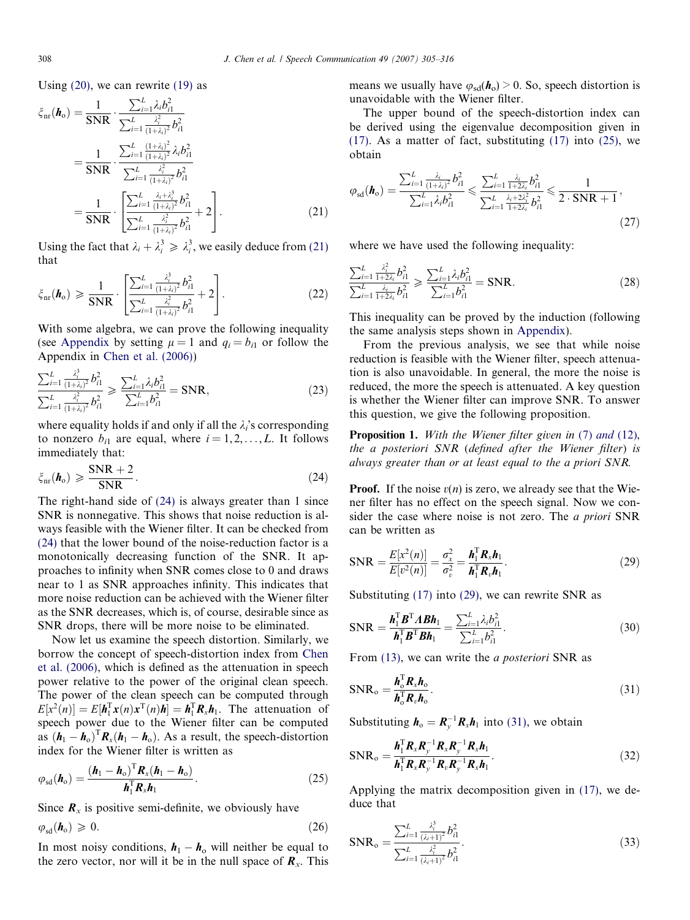Using  $(20)$ , we can rewrite  $(19)$  as

$$
\xi_{\rm nr}(\boldsymbol{h}_{\rm o}) = \frac{1}{\rm SNR} \cdot \frac{\sum_{i=1}^{L} \lambda_{i} b_{i1}^{2}}{\sum_{i=1}^{L} \frac{\lambda_{i}^{2}}{(1+\lambda_{i})^{2}} b_{i1}^{2}}
$$
\n
$$
= \frac{1}{\rm SNR} \cdot \frac{\sum_{i=1}^{L} \frac{(1+\lambda_{i})^{2}}{(1+\lambda_{i})^{2}} \lambda_{i} b_{i1}^{2}}{\sum_{i=1}^{L} \frac{\lambda_{i}^{2}}{(1+\lambda_{i})^{2}} b_{i1}^{2}}
$$
\n
$$
= \frac{1}{\rm SNR} \cdot \left[ \frac{\sum_{i=1}^{L} \frac{\lambda_{i} + \lambda_{i}^{3}}{(1+\lambda_{i})^{2}} b_{i1}^{2}}{\sum_{i=1}^{L} \frac{\lambda_{i}^{2}}{(1+\lambda_{i})^{2}} b_{i1}^{2}} + 2 \right].
$$
\n(21)

Using the fact that  $\lambda_i + \lambda_i^3 \ge \lambda_i^3$ , we easily deduce from (21) that

$$
\xi_{\rm nr}(\boldsymbol{h}_{\rm o}) \geqslant \frac{1}{\rm SNR} \cdot \left[ \frac{\sum_{i=1}^{L} \frac{\lambda_i^3}{(1+\lambda_i)^2} b_{i1}^2}{\sum_{i=1}^{L} \frac{\lambda_i^2}{(1+\lambda_i)^2} b_{i1}^2} + 2 \right]. \tag{22}
$$

With some algebra, we can prove the following inequality (see [Appendix](#page-9-0) by setting  $\mu = 1$  and  $q_i = b_{i1}$  or follow the Appendix in [Chen et al. \(2006\)\)](#page-10-0)

$$
\frac{\sum_{i=1}^{L} \frac{\lambda_i^3}{(1+\lambda_i)^2} b_{i1}^2}{\sum_{i=1}^{L} \frac{\lambda_i^2}{(1+\lambda_i)^2} b_{i1}^2} \geq \frac{\sum_{i=1}^{L} \lambda_i b_{i1}^2}{\sum_{i=1}^{L} b_{i1}^2} = \text{SNR},
$$
\n(23)

where equality holds if and only if all the  $\lambda_i$ 's corresponding to nonzero  $b_{i1}$  are equal, where  $i = 1, 2, \ldots, L$ . It follows immediately that:

$$
\zeta_{\rm nr}(\boldsymbol{h}_{\rm o}) \geqslant \frac{\rm SNR + 2}{\rm SNR}.\tag{24}
$$

The right-hand side of (24) is always greater than 1 since SNR is nonnegative. This shows that noise reduction is always feasible with the Wiener filter. It can be checked from (24) that the lower bound of the noise-reduction factor is a monotonically decreasing function of the SNR. It approaches to infinity when SNR comes close to 0 and draws near to 1 as SNR approaches infinity. This indicates that more noise reduction can be achieved with the Wiener filter as the SNR decreases, which is, of course, desirable since as SNR drops, there will be more noise to be eliminated.

Now let us examine the speech distortion. Similarly, we borrow the concept of speech-distortion index from [Chen](#page-10-0) [et al. \(2006\)](#page-10-0), which is defined as the attenuation in speech power relative to the power of the original clean speech. The power of the clean speech can be computed through  $E[x^2(n)] = E[\boldsymbol{h}_1^T \boldsymbol{x}(n) \boldsymbol{x}^T(n) \boldsymbol{h}] = \boldsymbol{h}_1^T \boldsymbol{R}_x \boldsymbol{h}_1$ . The attenuation of speech power due to the Wiener filter can be computed as  $(h_1 - h_0)^T R_x(h_1 - h_0)$ . As a result, the speech-distortion index for the Wiener filter is written as

$$
\varphi_{\rm sd}(\boldsymbol{h}_{\rm o}) = \frac{(\boldsymbol{h}_1 - \boldsymbol{h}_{\rm o})^{\rm T} \boldsymbol{R}_x (\boldsymbol{h}_1 - \boldsymbol{h}_{\rm o})}{\boldsymbol{h}_1^{\rm T} \boldsymbol{R}_x \boldsymbol{h}_1}.
$$
\n(25)

Since  $\mathbf{R}_x$  is positive semi-definite, we obviously have

$$
\varphi_{\rm sd}(\boldsymbol{h}_{\rm o}) \geqslant 0. \tag{26}
$$

In most noisy conditions,  $h_1 - h_0$  will neither be equal to the zero vector, nor will it be in the null space of  $\mathbf{R}_x$ . This means we usually have  $\varphi_{sd}(\boldsymbol{h}_o) > 0$ . So, speech distortion is unavoidable with the Wiener filter.

The upper bound of the speech-distortion index can be derived using the eigenvalue decomposition given in [\(17\)](#page-2-0). As a matter of fact, substituting [\(17\)](#page-2-0) into (25), we obtain

$$
\varphi_{sd}(\boldsymbol{h}_o) = \frac{\sum_{i=1}^{L} \frac{\lambda_i}{(1+\lambda_i)^2} b_{i1}^2}{\sum_{i=1}^{L} \lambda_i b_{i1}^2} \leq \frac{\sum_{i=1}^{L} \frac{\lambda_i}{1+2\lambda_i} b_{i1}^2}{\sum_{i=1}^{L} \frac{\lambda_i+2\lambda_i^2}{1+2\lambda_i} b_{i1}^2} \leq \frac{1}{2 \cdot SNR + 1},\tag{27}
$$

where we have used the following inequality:

$$
\frac{\sum_{i=1}^{L} \frac{\lambda_i^2}{1+2\lambda_i} b_{i1}^2}{\sum_{i=1}^{L} \frac{\lambda_i}{1+2\lambda_i} b_{i1}^2} \geqslant \frac{\sum_{i=1}^{L} \lambda_i b_{i1}^2}{\sum_{i=1}^{L} b_{i1}^2} = \text{SNR}.
$$
\n(28)

This inequality can be proved by the induction (following the same analysis steps shown in [Appendix](#page-9-0)).

From the previous analysis, we see that while noise reduction is feasible with the Wiener filter, speech attenuation is also unavoidable. In general, the more the noise is reduced, the more the speech is attenuated. A key question is whether the Wiener filter can improve SNR. To answer this question, we give the following proposition.

Proposition 1. With the Wiener filter given in (7[\) and \(](#page-2-0)12), the a posteriori SNR (defined after the Wiener filter) is always greater than or at least equal to the a priori SNR.

**Proof.** If the noise  $v(n)$  is zero, we already see that the Wiener filter has no effect on the speech signal. Now we consider the case where noise is not zero. The a priori SNR can be written as

$$
\text{SNR} = \frac{E[x^2(n)]}{E[v^2(n)]} = \frac{\sigma_x^2}{\sigma_v^2} = \frac{\boldsymbol{h}_1^{\text{T}} \boldsymbol{R}_x \boldsymbol{h}_1}{\boldsymbol{h}_1^{\text{T}} \boldsymbol{R}_v \boldsymbol{h}_1}.
$$
 (29)

Substituting [\(17\)](#page-2-0) into (29), we can rewrite SNR as

$$
\text{SNR} = \frac{\boldsymbol{h}_1^{\text{T}} \boldsymbol{B}^{\text{T}} \boldsymbol{\Lambda} \boldsymbol{B} \boldsymbol{h}_1}{\boldsymbol{h}_1^{\text{T}} \boldsymbol{B}^{\text{T}} \boldsymbol{B} \boldsymbol{h}_1} = \frac{\sum_{i=1}^{L} \lambda_i b_{i1}^2}{\sum_{i=1}^{L} b_{i1}^2}.
$$
 (30)

From [\(13\),](#page-2-0) we can write the a posteriori SNR as

$$
SNR_o = \frac{\boldsymbol{h}_o^{\mathrm{T}} \boldsymbol{R}_x \boldsymbol{h}_o}{\boldsymbol{h}_o^{\mathrm{T}} \boldsymbol{R}_v \boldsymbol{h}_o}.
$$
\n(31)

Substituting  $h_0 = R_y^{-1} R_x h_1$  into (31), we obtain

$$
\text{SNR}_{\text{o}} = \frac{\boldsymbol{h}_1^{\text{T}} \boldsymbol{R}_x \boldsymbol{R}_y^{-1} \boldsymbol{R}_x \boldsymbol{R}_y^{-1} \boldsymbol{R}_x \boldsymbol{h}_1}{\boldsymbol{h}_1^{\text{T}} \boldsymbol{R}_x \boldsymbol{R}_y^{-1} \boldsymbol{R}_x \boldsymbol{R}_y^{-1} \boldsymbol{R}_x \boldsymbol{h}_1}.
$$
(32)

Applying the matrix decomposition given in [\(17\)](#page-2-0), we deduce that

$$
SNR_o = \frac{\sum_{i=1}^{L} \frac{\lambda_i^3}{(\lambda_i + 1)^2} b_{i1}^2}{\sum_{i=1}^{L} \frac{\lambda_i^2}{(\lambda_i + 1)^2} b_{i1}^2}.
$$
\n(33)

 $\cdot$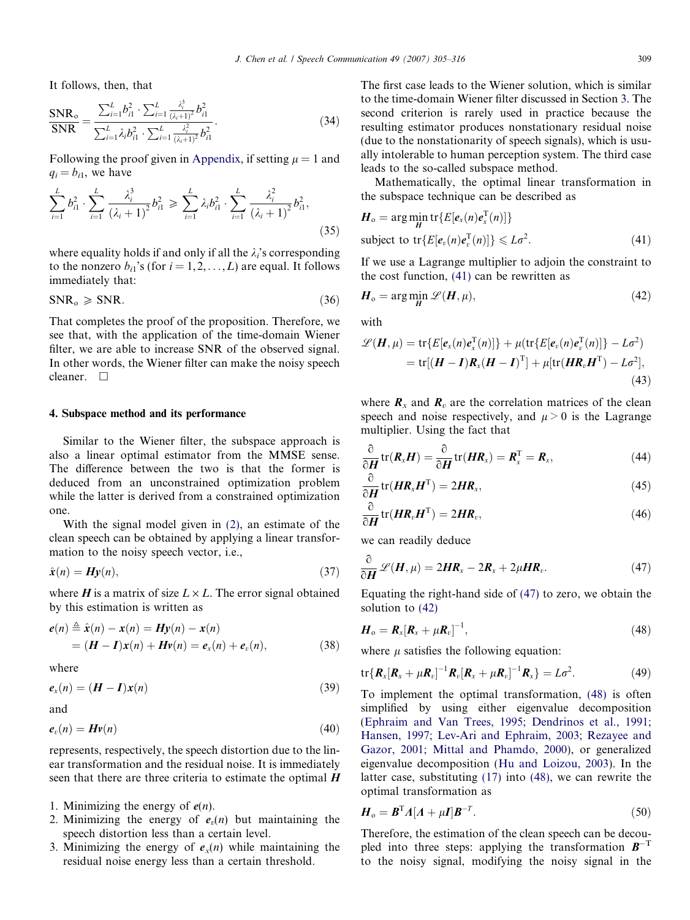<span id="page-4-0"></span>It follows, then, that

$$
\frac{\text{SNR}_{\text{o}}}{\text{SNR}} = \frac{\sum_{i=1}^{L} b_{i1}^{2} \cdot \sum_{i=1}^{L} \frac{\lambda_{i}^{3}}{(\lambda_{i}+1)^{2}} b_{i1}^{2}}{\sum_{i=1}^{L} \lambda_{i} b_{i1}^{2} \cdot \sum_{i=1}^{L} \frac{\lambda_{i}^{2}}{(\lambda_{i}+1)^{2}} b_{i1}^{2}}.
$$
\n(34)

Following the proof given in [Appendix,](#page-9-0) if setting  $\mu = 1$  and  $q_i = b_{i1}$ , we have

$$
\sum_{i=1}^{L} b_{i1}^{2} \cdot \sum_{i=1}^{L} \frac{\lambda_{i}^{3}}{(\lambda_{i}+1)^{2}} b_{i1}^{2} \geqslant \sum_{i=1}^{L} \lambda_{i} b_{i1}^{2} \cdot \sum_{i=1}^{L} \frac{\lambda_{i}^{2}}{(\lambda_{i}+1)^{2}} b_{i1}^{2},
$$
\n(35)

where equality holds if and only if all the  $\lambda_i$ 's corresponding to the nonzero  $b_{i1}$ 's (for  $i = 1, 2, \ldots, L$ ) are equal. It follows immediately that:

$$
SNR_o \geq SNR. \tag{36}
$$

That completes the proof of the proposition. Therefore, we see that, with the application of the time-domain Wiener filter, we are able to increase SNR of the observed signal. In other words, the Wiener filter can make the noisy speech cleaner.  $\square$ 

#### 4. Subspace method and its performance

Similar to the Wiener filter, the subspace approach is also a linear optimal estimator from the MMSE sense. The difference between the two is that the former is deduced from an unconstrained optimization problem while the latter is derived from a constrained optimization one.

With the signal model given in [\(2\),](#page-1-0) an estimate of the clean speech can be obtained by applying a linear transformation to the noisy speech vector, i.e.,

$$
\hat{\mathbf{x}}(n) = \mathbf{H}\mathbf{y}(n),\tag{37}
$$

where  $H$  is a matrix of size  $L \times L$ . The error signal obtained by this estimation is written as

$$
e(n) \triangleq \hat{x}(n) - x(n) = Hy(n) - x(n)
$$
  
=  $(H - I)x(n) + Hv(n) = e_x(n) + e_v(n)$ , (38)

where

$$
e_x(n) = (H - I)x(n) \tag{39}
$$

and

$$
e_v(n) = Hv(n) \tag{40}
$$

represents, respectively, the speech distortion due to the linear transformation and the residual noise. It is immediately seen that there are three criteria to estimate the optimal  $H$ 

- 1. Minimizing the energy of  $e(n)$ .
- 2. Minimizing the energy of  $e_n(n)$  but maintaining the speech distortion less than a certain level.
- 3. Minimizing the energy of  $e_x(n)$  while maintaining the residual noise energy less than a certain threshold.

The first case leads to the Wiener solution, which is similar to the time-domain Wiener filter discussed in Section [3](#page-1-0). The second criterion is rarely used in practice because the resulting estimator produces nonstationary residual noise (due to the nonstationarity of speech signals), which is usually intolerable to human perception system. The third case leads to the so-called subspace method.

Mathematically, the optimal linear transformation in the subspace technique can be described as

$$
\boldsymbol{H}_{o} = \arg\min_{\boldsymbol{H}} \text{tr}\{E[\boldsymbol{e}_{x}(n)\boldsymbol{e}_{x}^{\text{T}}(n)]\}
$$
  
subject to  $\text{tr}\{E[\boldsymbol{e}_{v}(n)\boldsymbol{e}_{v}^{\text{T}}(n)]\} \leq L\sigma^{2}.$  (41)

If we use a Lagrange multiplier to adjoin the constraint to the cost function, (41) can be rewritten as

$$
H_{\rm o} = \arg\min_{H} \mathcal{L}(H,\mu),\tag{42}
$$

with

$$
\mathcal{L}(\boldsymbol{H}, \mu) = \text{tr}\{E[\boldsymbol{e}_x(n)\boldsymbol{e}_x^{\text{T}}(n)]\} + \mu(\text{tr}\{E[\boldsymbol{e}_v(n)\boldsymbol{e}_v^{\text{T}}(n)]\} - L\sigma^2)
$$
  
= tr[( $\boldsymbol{H} - \boldsymbol{I}$ ) $\boldsymbol{R}_x(\boldsymbol{H} - \boldsymbol{I})^{\text{T}}$ ] +  $\mu[\text{tr}(\boldsymbol{H}\boldsymbol{R}_v\boldsymbol{H}^{\text{T}}) - L\sigma^2]$ , (43)

where  $\mathbf{R}_x$  and  $\mathbf{R}_v$  are the correlation matrices of the clean speech and noise respectively, and  $\mu > 0$  is the Lagrange multiplier. Using the fact that

$$
\frac{\partial}{\partial H} \text{tr}(\boldsymbol{R}_x \boldsymbol{H}) = \frac{\partial}{\partial H} \text{tr}(\boldsymbol{H} \boldsymbol{R}_x) = \boldsymbol{R}_x^{\text{T}} = \boldsymbol{R}_x, \tag{44}
$$

$$
\frac{\partial}{\partial H} tr(HR_x H^T) = 2HR_x, \qquad (45)
$$

$$
\frac{\partial}{\partial H} \text{tr}(\boldsymbol{H} \boldsymbol{R}_v \boldsymbol{H}^{\text{T}}) = 2 \boldsymbol{H} \boldsymbol{R}_v, \tag{46}
$$

we can readily deduce

$$
\frac{\partial}{\partial H} \mathscr{L}(H,\mu) = 2HR_x - 2R_x + 2\mu HR_v.
$$
 (47)

Equating the right-hand side of (47) to zero, we obtain the solution to (42)

$$
\boldsymbol{H}_{\text{o}} = \boldsymbol{R}_{\text{x}} [\boldsymbol{R}_{\text{x}} + \mu \boldsymbol{R}_{\text{v}}]^{-1}, \tag{48}
$$

where  $\mu$  satisfies the following equation:

$$
\operatorname{tr}\{\boldsymbol{R}_x[\boldsymbol{R}_x+\mu\boldsymbol{R}_v]^{-1}\boldsymbol{R}_v[\boldsymbol{R}_x+\mu\boldsymbol{R}_v]^{-1}\boldsymbol{R}_x\}=L\sigma^2.
$$
 (49)

To implement the optimal transformation, (48) is often simplified by using either eigenvalue decomposition ([Ephraim and Van Trees, 1995; Dendrinos et al., 1991;](#page-10-0) [Hansen, 1997; Lev-Ari and Ephraim, 2003; Rezayee and](#page-10-0) [Gazor, 2001; Mittal and Phamdo, 2000\)](#page-10-0), or generalized eigenvalue decomposition [\(Hu and Loizou, 2003\)](#page-10-0). In the latter case, substituting [\(17\)](#page-2-0) into (48), we can rewrite the optimal transformation as

$$
\boldsymbol{H}_{\text{o}} = \boldsymbol{B}^{\text{T}} \boldsymbol{\Lambda} [\boldsymbol{\Lambda} + \mu \boldsymbol{I}] \boldsymbol{B}^{-T}.
$$
\n(50)

Therefore, the estimation of the clean speech can be decoupled into three steps: applying the transformation  $B^{-1}$ to the noisy signal, modifying the noisy signal in the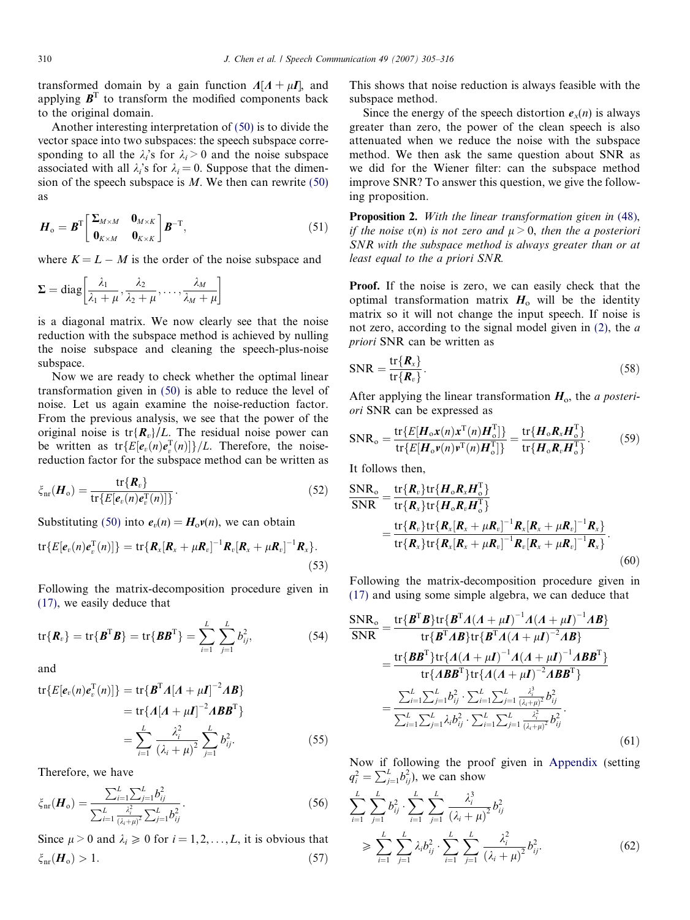transformed domain by a gain function  $A[A + \mu I]$ , and applying  $\mathbf{B}^T$  to transform the modified components back to the original domain.

Another interesting interpretation of [\(50\)](#page-4-0) is to divide the vector space into two subspaces: the speech subspace corresponding to all the  $\lambda_i$ 's for  $\lambda_i > 0$  and the noise subspace associated with all  $\lambda_i$ 's for  $\lambda_i = 0$ . Suppose that the dimension of the speech subspace is  $M$ . We then can rewrite [\(50\)](#page-4-0) as

$$
\boldsymbol{H}_{\text{o}} = \boldsymbol{B}^{\text{T}} \begin{bmatrix} \boldsymbol{\Sigma}_{M \times M} & \mathbf{0}_{M \times K} \\ \mathbf{0}_{K \times M} & \mathbf{0}_{K \times K} \end{bmatrix} \boldsymbol{B}^{-\text{T}}, \tag{51}
$$

where  $K = L - M$  is the order of the noise subspace and

$$
\Sigma = \text{diag}\left[\frac{\lambda_1}{\lambda_1 + \mu}, \frac{\lambda_2}{\lambda_2 + \mu}, \dots, \frac{\lambda_M}{\lambda_M + \mu}\right]
$$

is a diagonal matrix. We now clearly see that the noise reduction with the subspace method is achieved by nulling the noise subspace and cleaning the speech-plus-noise subspace.

Now we are ready to check whether the optimal linear transformation given in [\(50\)](#page-4-0) is able to reduce the level of noise. Let us again examine the noise-reduction factor. From the previous analysis, we see that the power of the original noise is  $tr{R_n}/L$ . The residual noise power can be written as  $tr\{E[e_v(n)e_v^T(n)]\}/L$ . Therefore, the noisereduction factor for the subspace method can be written as

$$
\xi_{\text{nr}}(\boldsymbol{H}_{\text{o}}) = \frac{\text{tr}\{\boldsymbol{R}_{v}\}}{\text{tr}\{E[\boldsymbol{e}_{v}(n)\boldsymbol{e}_{v}^{\text{T}}(n)]\}}.
$$
\n(52)

Substituting [\(50\)](#page-4-0) into  $e_v(n) = H_0 v(n)$ , we can obtain

$$
\mathrm{tr}\{E[\boldsymbol{e}_v(n)\boldsymbol{e}_v^{\mathrm{T}}(n)]\}=\mathrm{tr}\{\boldsymbol{R}_x[\boldsymbol{R}_x+\mu\boldsymbol{R}_v]^{-1}\boldsymbol{R}_v[\boldsymbol{R}_x+\mu\boldsymbol{R}_v]^{-1}\boldsymbol{R}_x\}.
$$
\n(53)

Following the matrix-decomposition procedure given in [\(17\)](#page-2-0), we easily deduce that

$$
\operatorname{tr}\{\boldsymbol{R}_v\} = \operatorname{tr}\{\boldsymbol{B}^{\mathrm{T}}\boldsymbol{B}\} = \operatorname{tr}\{\boldsymbol{B}\boldsymbol{B}^{\mathrm{T}}\} = \sum_{i=1}^{L} \sum_{j=1}^{L} b_{ij}^2, \tag{54}
$$

and

$$
\text{tr}\{E[\boldsymbol{e}_v(n)\boldsymbol{e}_v^{\text{T}}(n)]\} = \text{tr}\{\boldsymbol{B}^{\text{T}}\boldsymbol{\Lambda}[\boldsymbol{\Lambda} + \mu \boldsymbol{I}]^{-2}\boldsymbol{\Lambda}\boldsymbol{B}\}\
$$

$$
= \text{tr}\{\boldsymbol{\Lambda}[\boldsymbol{\Lambda} + \mu \boldsymbol{I}]^{-2}\boldsymbol{\Lambda}\boldsymbol{B}\boldsymbol{B}^{\text{T}}\}
$$

$$
= \sum_{i=1}^{L} \frac{\lambda_i^2}{(\lambda_i + \mu)^2} \sum_{j=1}^{L} b_{ij}^2. \tag{55}
$$

Therefore, we have

$$
\xi_{\rm nr}(\boldsymbol{H}_{\rm o}) = \frac{\sum_{i=1}^{L} \sum_{j=1}^{L} b_{ij}^2}{\sum_{i=1}^{L} \frac{\lambda_i^2}{(\lambda_i + \mu)^2} \sum_{j=1}^{L} b_{ij}^2}.
$$
\n(56)

Since  $\mu > 0$  and  $\lambda_i \geq 0$  for  $i = 1, 2, \ldots, L$ , it is obvious that  $\xi_{\rm nr}(H_{\rm o}) > 1.$  (57) This shows that noise reduction is always feasible with the subspace method.

Since the energy of the speech distortion  $e<sub>x</sub>(n)$  is always greater than zero, the power of the clean speech is also attenuated when we reduce the noise with the subspace method. We then ask the same question about SNR as we did for the Wiener filter: can the subspace method improve SNR? To answer this question, we give the following proposition.

Proposition 2. With the linear transformation given in ([48](#page-4-0)), if the noise  $v(n)$  is not zero and  $\mu > 0$ , then the a posteriori SNR with the subspace method is always greater than or at least equal to the a priori SNR.

Proof. If the noise is zero, we can easily check that the optimal transformation matrix  $H_0$  will be the identity matrix so it will not change the input speech. If noise is not zero, according to the signal model given in  $(2)$ , the a priori SNR can be written as

$$
SNR = \frac{\text{tr}\{\boldsymbol{R}_x\}}{\text{tr}\{\boldsymbol{R}_v\}}.
$$
\n(58)

After applying the linear transformation  $H_0$ , the *a posteri*ori SNR can be expressed as

$$
\text{SNR}_\text{o} = \frac{\text{tr}\{E[H_\text{o} \mathbf{x}(n)\mathbf{x}^\text{T}(n)H_\text{o}^\text{T}]\}}{\text{tr}\{E[H_\text{o} \mathbf{v}(n)\mathbf{v}^\text{T}(n)H_\text{o}^\text{T}]\}} = \frac{\text{tr}\{H_\text{o} \mathbf{R}_x H_\text{o}^\text{T}\}}{\text{tr}\{H_\text{o} \mathbf{R}_v H_\text{o}^\text{T}\}}.
$$
(59)

It follows then,

$$
\frac{\text{SNR}_{\text{o}}}{\text{SNR}} = \frac{\text{tr}\{\boldsymbol{R}_{v}\} \text{tr}\{\boldsymbol{H}_{o}\boldsymbol{R}_{x}\boldsymbol{H}_{o}^{\text{T}}\}}{\text{tr}\{\boldsymbol{R}_{x}\} \text{tr}\{\boldsymbol{H}_{o}\boldsymbol{R}_{v}\boldsymbol{H}_{o}^{\text{T}}\}} \\
= \frac{\text{tr}\{\boldsymbol{R}_{v}\} \text{tr}\{\boldsymbol{R}_{x}[\boldsymbol{R}_{x} + \mu \boldsymbol{R}_{v}]^{-1}\boldsymbol{R}_{x}[\boldsymbol{R}_{x} + \mu \boldsymbol{R}_{v}]^{-1}\boldsymbol{R}_{x}\}}{\text{tr}\{\boldsymbol{R}_{x}\} \text{tr}\{\boldsymbol{R}_{x}[\boldsymbol{R}_{x} + \mu \boldsymbol{R}_{v}]^{-1}\boldsymbol{R}_{v}[\boldsymbol{R}_{x} + \mu \boldsymbol{R}_{v}]^{-1}\boldsymbol{R}_{x}\}}.
$$
\n(60)

Following the matrix-decomposition procedure given in [\(17\)](#page-2-0) and using some simple algebra, we can deduce that

$$
\frac{\text{SNR}_{\text{o}}}{\text{SNR}} = \frac{\text{tr}\{\boldsymbol{B}^{\text{T}}\boldsymbol{B}\}\text{tr}\{\boldsymbol{B}^{\text{T}}\boldsymbol{\Lambda}(\boldsymbol{\Lambda} + \mu\boldsymbol{I})^{-1}\boldsymbol{\Lambda}(\boldsymbol{\Lambda} + \mu\boldsymbol{I})^{-1}\boldsymbol{\Lambda}\boldsymbol{B}\}}{\text{tr}\{\boldsymbol{B}^{\text{T}}\boldsymbol{\Lambda}\boldsymbol{B}\}\text{tr}\{\boldsymbol{B}^{\text{T}}\boldsymbol{\Lambda}(\boldsymbol{\Lambda} + \mu\boldsymbol{I})^{-2}\boldsymbol{\Lambda}\boldsymbol{B}\}}\n\n= \frac{\text{tr}\{\boldsymbol{B}\boldsymbol{B}^{\text{T}}\}\text{tr}\{\boldsymbol{\Lambda}(\boldsymbol{\Lambda} + \mu\boldsymbol{I})^{-1}\boldsymbol{\Lambda}(\boldsymbol{\Lambda} + \mu\boldsymbol{I})^{-1}\boldsymbol{\Lambda}\boldsymbol{B}\boldsymbol{B}^{\text{T}}\}}{\text{tr}\{\boldsymbol{A}\boldsymbol{B}\boldsymbol{B}^{\text{T}}\}\text{tr}\{\boldsymbol{\Lambda}(\boldsymbol{\Lambda} + \mu\boldsymbol{I})^{-2}\boldsymbol{\Lambda}\boldsymbol{B}\boldsymbol{B}^{\text{T}}\}}\n\n= \frac{\sum_{i=1}^{L}\sum_{j=1}^{L}b_{ij}^{2}\cdot\sum_{i=1}^{L}\sum_{j=1}^{L}\frac{\lambda_{i}^{3}}{(\lambda_{i}+\mu_{i})^{2}}b_{ij}^{2}}{\sum_{i=1}^{L}\sum_{j=1}^{L}\lambda_{i}b_{ij}^{2}\cdot\sum_{i=1}^{L}\sum_{j=1}^{L}\frac{\lambda_{i}^{2}}{(\lambda_{i}+\mu_{i})^{2}}b_{ij}^{2}}.
$$
\n(61)

Now if following the proof given in [Appendix](#page-9-0) (setting  $q_i^2 = \sum_{j=1}^L b_{ij}^2$ , we can show

$$
\sum_{i=1}^{L} \sum_{j=1}^{L} b_{ij}^{2} \cdot \sum_{i=1}^{L} \sum_{j=1}^{L} \frac{\lambda_{i}^{3}}{(\lambda_{i} + \mu)^{2}} b_{ij}^{2}
$$
\n
$$
\geqslant \sum_{i=1}^{L} \sum_{j=1}^{L} \lambda_{i} b_{ij}^{2} \cdot \sum_{i=1}^{L} \sum_{j=1}^{L} \frac{\lambda_{i}^{2}}{(\lambda_{i} + \mu)^{2}} b_{ij}^{2}.
$$
\n(62)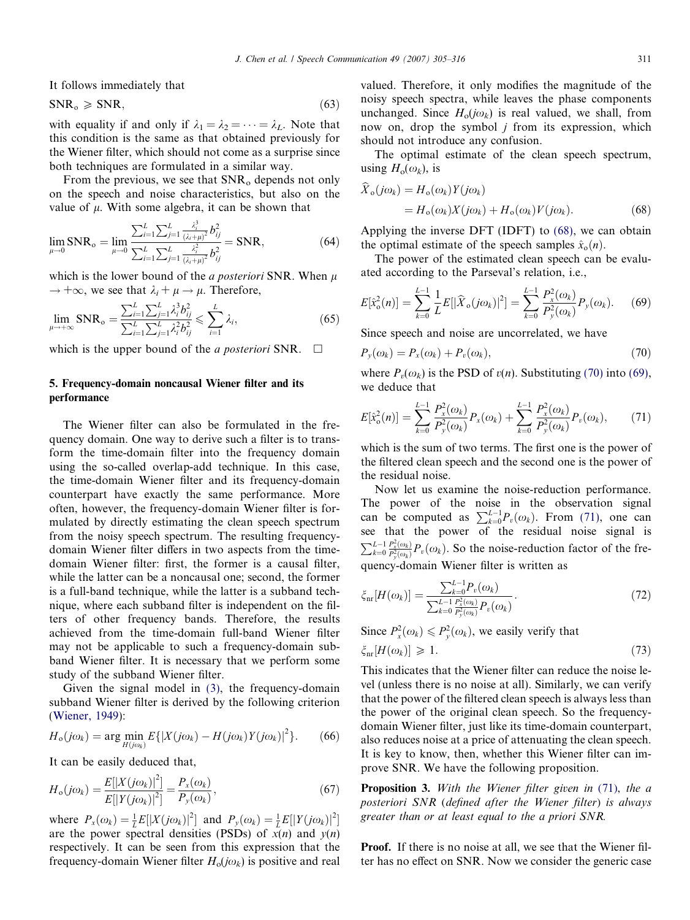<span id="page-6-0"></span>It follows immediately that

$$
SNR_o \geq SNR, \tag{63}
$$

with equality if and only if  $\lambda_1 = \lambda_2 = \cdots = \lambda_L$ . Note that this condition is the same as that obtained previously for the Wiener filter, which should not come as a surprise since both techniques are formulated in a similar way.

From the previous, we see that  $SNR_0$  depends not only on the speech and noise characteristics, but also on the value of  $\mu$ . With some algebra, it can be shown that

$$
\lim_{\mu \to 0} \text{SNR}_{\text{o}} = \lim_{\mu \to 0} \frac{\sum_{i=1}^{L} \sum_{j=1}^{L} \frac{\lambda_i^3}{(\lambda_i + \mu)^2} b_{ij}^2}{\sum_{i=1}^{L} \sum_{j=1}^{L} \frac{\lambda_i^2}{(\lambda_i + \mu)^2} b_{ij}^2} = \text{SNR},\tag{64}
$$

which is the lower bound of the *a posteriori* SNR. When  $\mu$  $\rightarrow +\infty$ , we see that  $\lambda_i + \mu \rightarrow \mu$ . Therefore,

$$
\lim_{\mu \to +\infty} \text{SNR}_{o} = \frac{\sum_{i=1}^{L} \sum_{j=1}^{L} \lambda_{i}^{3} b_{ij}^{2}}{\sum_{i=1}^{L} \sum_{j=1}^{L} \lambda_{i}^{2} b_{ij}^{2}} \leq \sum_{i=1}^{L} \lambda_{i},
$$
\n(65)

which is the upper bound of the *a posteriori* SNR.  $\Box$ 

# 5. Frequency-domain noncausal Wiener filter and its performance

The Wiener filter can also be formulated in the frequency domain. One way to derive such a filter is to transform the time-domain filter into the frequency domain using the so-called overlap-add technique. In this case, the time-domain Wiener filter and its frequency-domain counterpart have exactly the same performance. More often, however, the frequency-domain Wiener filter is formulated by directly estimating the clean speech spectrum from the noisy speech spectrum. The resulting frequencydomain Wiener filter differs in two aspects from the timedomain Wiener filter: first, the former is a causal filter, while the latter can be a noncausal one; second, the former is a full-band technique, while the latter is a subband technique, where each subband filter is independent on the filters of other frequency bands. Therefore, the results achieved from the time-domain full-band Wiener filter may not be applicable to such a frequency-domain subband Wiener filter. It is necessary that we perform some study of the subband Wiener filter.

Given the signal model in [\(3\),](#page-1-0) the frequency-domain subband Wiener filter is derived by the following criterion ([Wiener, 1949\)](#page-11-0):

$$
H_o(j\omega_k) = \arg\min_{H(j\omega_k)} E\{ |X(j\omega_k) - H(j\omega_k)Y(j\omega_k)|^2 \}.
$$
 (66)

It can be easily deduced that,

$$
H_o(j\omega_k) = \frac{E[|X(j\omega_k)|^2]}{E[|Y(j\omega_k)|^2]} = \frac{P_x(\omega_k)}{P_y(\omega_k)},
$$
\n(67)

where  $P_x(\omega_k) = \frac{1}{L}E[|X(j\omega_k)|^2]$  and  $P_y(\omega_k) = \frac{1}{L}E[|Y(j\omega_k)|^2]$ are the power spectral densities (PSDs) of  $x(n)$  and  $y(n)$ respectively. It can be seen from this expression that the frequency-domain Wiener filter  $H_0(j\omega_k)$  is positive and real

valued. Therefore, it only modifies the magnitude of the noisy speech spectra, while leaves the phase components unchanged. Since  $H_0(i\omega_k)$  is real valued, we shall, from now on, drop the symbol j from its expression, which should not introduce any confusion.

The optimal estimate of the clean speech spectrum, using  $H_0(\omega_k)$ , is

$$
\hat{X}_{o}(j\omega_{k}) = H_{o}(\omega_{k})Y(j\omega_{k})
$$
\n
$$
= H_{o}(\omega_{k})X(j\omega_{k}) + H_{o}(\omega_{k})V(j\omega_{k}).
$$
\n(68)

Applying the inverse DFT (IDFT) to (68), we can obtain the optimal estimate of the speech samples  $\hat{x}_{o}(n)$ .

The power of the estimated clean speech can be evaluated according to the Parseval's relation, i.e.,

$$
E[\hat{x}_{o}^{2}(n)] = \sum_{k=0}^{L-1} \frac{1}{L} E[|\hat{X}_{o}(j\omega_{k})|^{2}] = \sum_{k=0}^{L-1} \frac{P_{x}^{2}(\omega_{k})}{P_{y}^{2}(\omega_{k})} P_{y}(\omega_{k}).
$$
 (69)

Since speech and noise are uncorrelated, we have

$$
P_{y}(\omega_{k}) = P_{x}(\omega_{k}) + P_{v}(\omega_{k}), \qquad (70)
$$

where  $P_v(\omega_k)$  is the PSD of  $v(n)$ . Substituting (70) into (69), we deduce that

$$
E[\hat{x}_{o}^{2}(n)] = \sum_{k=0}^{L-1} \frac{P_{x}^{2}(\omega_{k})}{P_{y}^{2}(\omega_{k})} P_{x}(\omega_{k}) + \sum_{k=0}^{L-1} \frac{P_{x}^{2}(\omega_{k})}{P_{y}^{2}(\omega_{k})} P_{v}(\omega_{k}), \qquad (71)
$$

which is the sum of two terms. The first one is the power of the filtered clean speech and the second one is the power of the residual noise.

Now let us examine the noise-reduction performance. The power of the noise in the observation signal can be computed as  $\sum_{k=0}^{L-1} P_v(\omega_k)$ . From (71), one can see that the power of the residual noise signal is  $\sum_{k=0}^{L-1} \frac{P_x^2(\omega_k)}{P_y^2(\omega_k)} P_v(\omega_k)$ . So the noise-reduction factor of the frequency-domain Wiener filter is written as

$$
\xi_{\rm nr}[H(\omega_k)] = \frac{\sum_{k=0}^{L-1} P_v(\omega_k)}{\sum_{k=0}^{L-1} \frac{P_v^2(\omega_k)}{P_v^2(\omega_k)} P_v(\omega_k)}.
$$
\n(72)

Since  $P_x^2(\omega_k) \leq P_y^2(\omega_k)$ , we easily verify that  $\zeta_{\text{nr}}[H(\omega_k)] \geq 1.$  (73) This indicates that the Wiener filter can reduce the noise le-

vel (unless there is no noise at all). Similarly, we can verify that the power of the filtered clean speech is always less than the power of the original clean speech. So the frequencydomain Wiener filter, just like its time-domain counterpart, also reduces noise at a price of attenuating the clean speech. It is key to know, then, whether this Wiener filter can improve SNR. We have the following proposition.

Proposition 3. With the Wiener filter given in (71), the a posteriori SNR (defined after the Wiener filter) is always greater than or at least equal to the a priori SNR.

Proof. If there is no noise at all, we see that the Wiener filter has no effect on SNR. Now we consider the generic case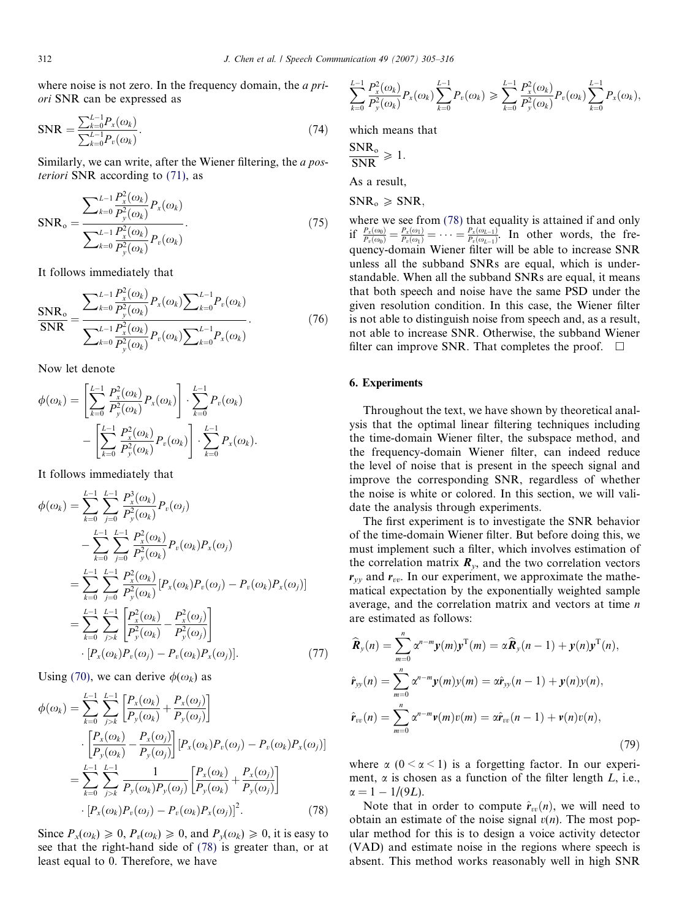<span id="page-7-0"></span>where noise is not zero. In the frequency domain, the *a pri*ori SNR can be expressed as

$$
SNR = \frac{\sum_{k=0}^{L-1} P_x(\omega_k)}{\sum_{k=0}^{L-1} P_v(\omega_k)}.
$$
\n(74)

Similarly, we can write, after the Wiener filtering, the a posteriori SNR according to [\(71\)](#page-6-0), as

$$
SNR_o = \frac{\sum_{k=0}^{L-1} \frac{P_x^2(\omega_k)}{P_y^2(\omega_k)} P_x(\omega_k)}{\sum_{k=0}^{L-1} \frac{P_x^2(\omega_k)}{P_y^2(\omega_k)} P_v(\omega_k)}.
$$
(75)

It follows immediately that

$$
\frac{\text{SNR}_{\text{o}}}{\text{SNR}} = \frac{\sum_{k=0}^{L-1} \frac{P_x^2(\omega_k)}{P_y^2(\omega_k)} P_x(\omega_k) \sum_{k=0}^{L-1} P_v(\omega_k)}{\sum_{k=0}^{L-1} \frac{P_x^2(\omega_k)}{P_y^2(\omega_k)} P_v(\omega_k) \sum_{k=0}^{L-1} P_x(\omega_k)}.
$$
(76)

Now let denote

$$
\phi(\omega_k) = \left[\sum_{k=0}^{L-1} \frac{P_x^2(\omega_k)}{P_y^2(\omega_k)} P_x(\omega_k)\right] \cdot \sum_{k=0}^{L-1} P_v(\omega_k)
$$

$$
- \left[\sum_{k=0}^{L-1} \frac{P_x^2(\omega_k)}{P_y^2(\omega_k)} P_v(\omega_k)\right] \cdot \sum_{k=0}^{L-1} P_x(\omega_k).
$$

It follows immediately that

$$
\phi(\omega_k) = \sum_{k=0}^{L-1} \sum_{j=0}^{L-1} \frac{P_x^3(\omega_k)}{P_y^2(\omega_k)} P_v(\omega_j)
$$
  
\n
$$
- \sum_{k=0}^{L-1} \sum_{j=0}^{L-1} \frac{P_x^2(\omega_k)}{P_y^2(\omega_k)} P_v(\omega_k) P_x(\omega_j)
$$
  
\n
$$
= \sum_{k=0}^{L-1} \sum_{j=0}^{L-1} \frac{P_x^2(\omega_k)}{P_y^2(\omega_k)} [P_x(\omega_k) P_v(\omega_j) - P_v(\omega_k) P_x(\omega_j)]
$$
  
\n
$$
= \sum_{k=0}^{L-1} \sum_{j>k}^{L-1} \left[ \frac{P_x^2(\omega_k)}{P_y^2(\omega_k)} - \frac{P_x^2(\omega_j)}{P_y^2(\omega_j)} \right]
$$
  
\n
$$
\cdot [P_x(\omega_k) P_v(\omega_j) - P_v(\omega_k) P_x(\omega_j)].
$$
\n(77)

Using [\(70\),](#page-6-0) we can derive  $\phi(\omega_k)$  as

$$
\phi(\omega_k) = \sum_{k=0}^{L-1} \sum_{j>k}^{L-1} \left[ \frac{P_x(\omega_k)}{P_y(\omega_k)} + \frac{P_x(\omega_j)}{P_y(\omega_j)} \right] \n\cdot \left[ \frac{P_x(\omega_k)}{P_y(\omega_k)} - \frac{P_x(\omega_j)}{P_y(\omega_j)} \right] \left[ P_x(\omega_k) P_v(\omega_j) - P_v(\omega_k) P_x(\omega_j) \right] \n= \sum_{k=0}^{L-1} \sum_{j>k}^{L-1} \frac{1}{P_y(\omega_k) P_y(\omega_j)} \left[ \frac{P_x(\omega_k)}{P_y(\omega_k)} + \frac{P_x(\omega_j)}{P_y(\omega_j)} \right] \n\cdot \left[ P_x(\omega_k) P_v(\omega_j) - P_v(\omega_k) P_x(\omega_j) \right]^2.
$$
\n(78)

Since  $P_x(\omega_k) \geq 0$ ,  $P_v(\omega_k) \geq 0$ , and  $P_y(\omega_k) \geq 0$ , it is easy to see that the right-hand side of (78) is greater than, or at least equal to 0. Therefore, we have

$$
\sum_{k=0}^{L-1} \frac{P_x^2(\omega_k)}{P_y^2(\omega_k)} P_x(\omega_k) \sum_{k=0}^{L-1} P_v(\omega_k) \ge \sum_{k=0}^{L-1} \frac{P_x^2(\omega_k)}{P_y^2(\omega_k)} P_v(\omega_k) \sum_{k=0}^{L-1} P_x(\omega_k),
$$

which means that

$$
\frac{\text{SNR}_{\text{o}}}{\text{SNR}} \geq 1.
$$

As a result,

$$
SNR_o \geqslant SNR,
$$

where we see from (78) that equality is attained if and only if  $\frac{P_x(\omega_0)}{P_v(\omega_0)} = \frac{P_x(\omega_1)}{P_v(\omega_1)} = \cdots = \frac{P_x(\omega_{L-1})}{P_v(\omega_{L-1})}$ . In other words, the frequency-domain Wiener filter will be able to increase SNR unless all the subband SNRs are equal, which is understandable. When all the subband SNRs are equal, it means that both speech and noise have the same PSD under the given resolution condition. In this case, the Wiener filter is not able to distinguish noise from speech and, as a result, not able to increase SNR. Otherwise, the subband Wiener filter can improve SNR. That completes the proof.  $\Box$ 

## 6. Experiments

Throughout the text, we have shown by theoretical analysis that the optimal linear filtering techniques including the time-domain Wiener filter, the subspace method, and the frequency-domain Wiener filter, can indeed reduce the level of noise that is present in the speech signal and improve the corresponding SNR, regardless of whether the noise is white or colored. In this section, we will validate the analysis through experiments.

The first experiment is to investigate the SNR behavior of the time-domain Wiener filter. But before doing this, we must implement such a filter, which involves estimation of the correlation matrix  $\mathbf{R}_{v}$ , and the two correlation vectors  $r_{vv}$  and  $r_{vv}$ . In our experiment, we approximate the mathematical expectation by the exponentially weighted sample average, and the correlation matrix and vectors at time  $n$ are estimated as follows:

$$
\widehat{\boldsymbol{R}}_{y}(n) = \sum_{m=0}^{n} \alpha^{n-m} y(m) y^{T}(m) = \alpha \widehat{\boldsymbol{R}}_{y}(n-1) + y(n) y^{T}(n),
$$
\n
$$
\widehat{\boldsymbol{r}}_{yy}(n) = \sum_{m=0}^{n} \alpha^{n-m} y(m) y(m) = \alpha \widehat{\boldsymbol{r}}_{yy}(n-1) + y(n) y(n),
$$
\n
$$
\widehat{\boldsymbol{r}}_{vv}(n) = \sum_{m=0}^{n} \alpha^{n-m} y(m) v(m) = \alpha \widehat{\boldsymbol{r}}_{vv}(n-1) + y(n) v(n),
$$
\n(79)

where  $\alpha$  ( $0 \le \alpha \le 1$ ) is a forgetting factor. In our experiment,  $\alpha$  is chosen as a function of the filter length  $L$ , i.e.,  $\alpha = 1 - 1/(9L)$ .

Note that in order to compute  $\hat{r}_{vv}(n)$ , we will need to obtain an estimate of the noise signal  $v(n)$ . The most popular method for this is to design a voice activity detector (VAD) and estimate noise in the regions where speech is absent. This method works reasonably well in high SNR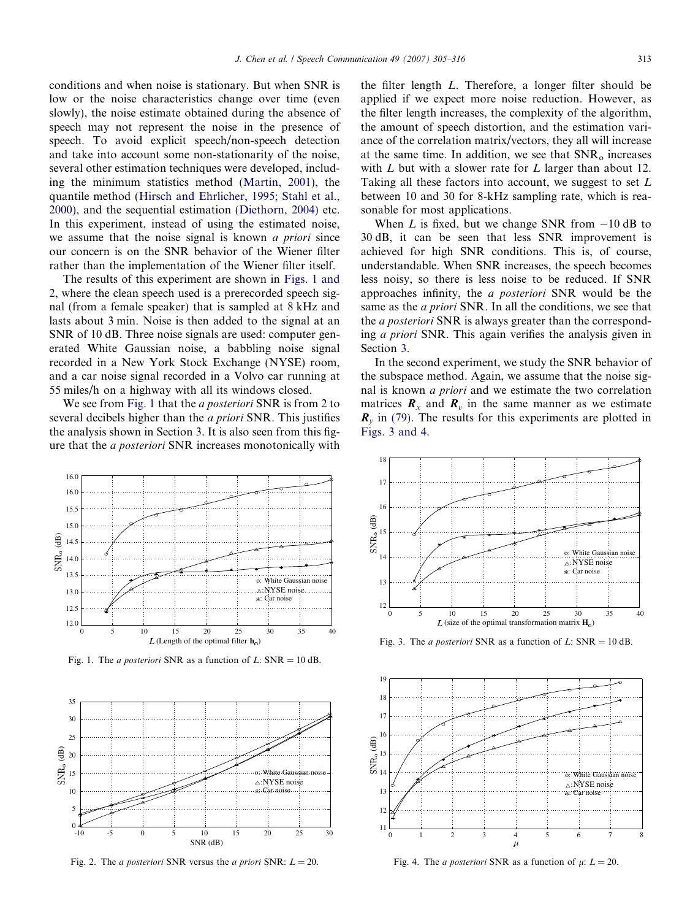<span id="page-8-0"></span>conditions and when noise is stationary. But when SNR is low or the noise characteristics change over time (even slowly), the noise estimate obtained during the absence of speech may not represent the noise in the presence of speech. To avoid explicit speech/non-speech detection and take into account some non-stationarity of the noise, several other estimation techniques were developed, including the minimum statistics method [\(Martin, 2001\)](#page-11-0), the quantile method ([Hirsch and Ehrlicher, 1995; Stahl et al.,](#page-10-0) [2000](#page-10-0)), and the sequential estimation ([Diethorn, 2004\)](#page-10-0) etc. In this experiment, instead of using the estimated noise, we assume that the noise signal is known *a priori* since our concern is on the SNR behavior of the Wiener filter rather than the implementation of the Wiener filter itself.

The results of this experiment are shown in Figs. 1 and 2, where the clean speech used is a prerecorded speech signal (from a female speaker) that is sampled at 8 kHz and lasts about 3 min. Noise is then added to the signal at an SNR of 10 dB. Three noise signals are used: computer generated White Gaussian noise, a babbling noise signal recorded in a New York Stock Exchange (NYSE) room, and a car noise signal recorded in a Volvo car running at 55 miles/h on a highway with all its windows closed.

We see from Fig. 1 that the *a posteriori* SNR is from 2 to several decibels higher than the a priori SNR. This justifies the analysis shown in Section [3](#page-1-0). It is also seen from this figure that the a posteriori SNR increases monotonically with



Fig. 1. The *a posteriori* SNR as a function of *L*: SNR = 10 dB.



Fig. 2. The *a posteriori* SNR versus the *a priori* SNR:  $L = 20$ .

the filter length L. Therefore, a longer filter should be applied if we expect more noise reduction. However, as the filter length increases, the complexity of the algorithm, the amount of speech distortion, and the estimation variance of the correlation matrix/vectors, they all will increase at the same time. In addition, we see that  $SNR<sub>o</sub>$  increases with  $L$  but with a slower rate for  $L$  larger than about 12. Taking all these factors into account, we suggest to set L between 10 and 30 for 8-kHz sampling rate, which is reasonable for most applications.

When  $L$  is fixed, but we change SNR from  $-10$  dB to 30 dB, it can be seen that less SNR improvement is achieved for high SNR conditions. This is, of course, understandable. When SNR increases, the speech becomes less noisy, so there is less noise to be reduced. If SNR approaches infinity, the a posteriori SNR would be the same as the a priori SNR. In all the conditions, we see that the a posteriori SNR is always greater than the corresponding a priori SNR. This again verifies the analysis given in Section [3](#page-1-0).

In the second experiment, we study the SNR behavior of the subspace method. Again, we assume that the noise signal is known a priori and we estimate the two correlation matrices  $\mathbf{R}_x$  and  $\mathbf{R}_v$  in the same manner as we estimate  $\mathbf{R}_{v}$  in [\(79\).](#page-7-0) The results for this experiments are plotted in Figs. 3 and 4.



Fig. 3. The *a posteriori* SNR as a function of *L*: SNR =  $10$  dB.



Fig. 4. The *a posteriori* SNR as a function of  $\mu$ :  $L = 20$ .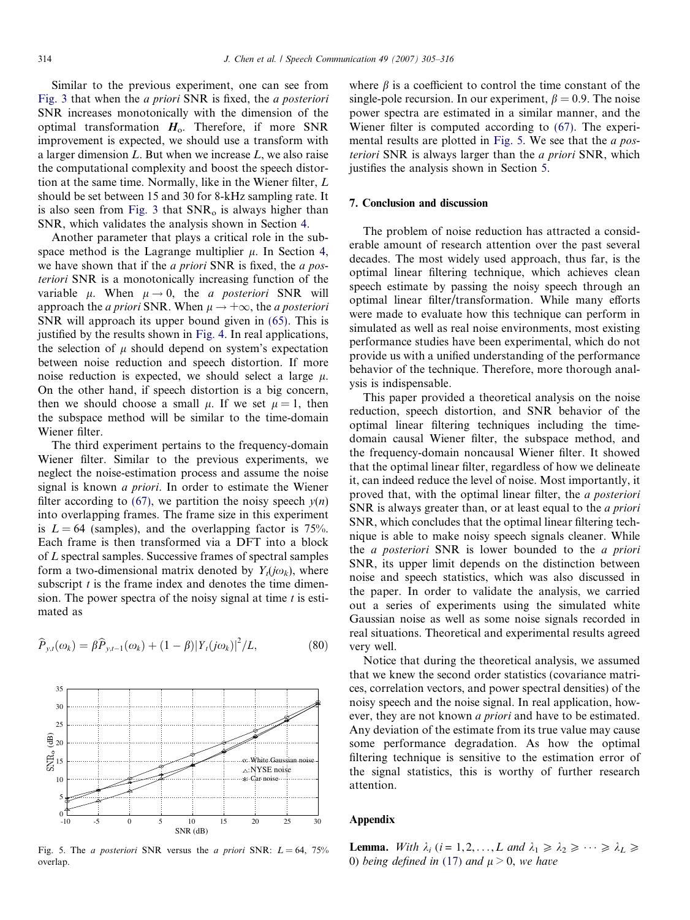<span id="page-9-0"></span>Similar to the previous experiment, one can see from [Fig. 3](#page-8-0) that when the a priori SNR is fixed, the a posteriori SNR increases monotonically with the dimension of the optimal transformation  $H_0$ . Therefore, if more SNR improvement is expected, we should use a transform with a larger dimension L. But when we increase L, we also raise the computational complexity and boost the speech distortion at the same time. Normally, like in the Wiener filter, L should be set between 15 and 30 for 8-kHz sampling rate. It is also seen from [Fig. 3](#page-8-0) that  $SNR<sub>o</sub>$  is always higher than SNR, which validates the analysis shown in Section [4.](#page-4-0)

Another parameter that plays a critical role in the subspace method is the Lagrange multiplier  $\mu$ . In Section [4](#page-4-0), we have shown that if the *a priori* SNR is fixed, the *a pos*teriori SNR is a monotonically increasing function of the variable  $\mu$ . When  $\mu \rightarrow 0$ , the *a posteriori* SNR will approach the *a priori* SNR. When  $\mu \rightarrow +\infty$ , the *a posteriori* SNR will approach its upper bound given in [\(65\)](#page-6-0). This is justified by the results shown in [Fig. 4.](#page-8-0) In real applications, the selection of  $\mu$  should depend on system's expectation between noise reduction and speech distortion. If more noise reduction is expected, we should select a large  $\mu$ . On the other hand, if speech distortion is a big concern, then we should choose a small  $\mu$ . If we set  $\mu = 1$ , then the subspace method will be similar to the time-domain Wiener filter.

The third experiment pertains to the frequency-domain Wiener filter. Similar to the previous experiments, we neglect the noise-estimation process and assume the noise signal is known a priori. In order to estimate the Wiener filter according to [\(67\)](#page-6-0), we partition the noisy speech  $y(n)$ into overlapping frames. The frame size in this experiment is  $L = 64$  (samples), and the overlapping factor is 75%. Each frame is then transformed via a DFT into a block of L spectral samples. Successive frames of spectral samples form a two-dimensional matrix denoted by  $Y_t(i\omega_k)$ , where subscript  $t$  is the frame index and denotes the time dimension. The power spectra of the noisy signal at time  $t$  is estimated as

$$
\widehat{P}_{y,t}(\omega_k) = \beta \widehat{P}_{y,t-1}(\omega_k) + (1-\beta)|Y_t(j\omega_k)|^2 / L, \tag{80}
$$



Fig. 5. The *a posteriori* SNR versus the *a priori* SNR:  $L = 64$ , 75% overlap.

where  $\beta$  is a coefficient to control the time constant of the single-pole recursion. In our experiment,  $\beta = 0.9$ . The noise power spectra are estimated in a similar manner, and the Wiener filter is computed according to [\(67\)](#page-6-0). The experimental results are plotted in Fig. 5. We see that the *a pos*teriori SNR is always larger than the a priori SNR, which justifies the analysis shown in Section [5](#page-6-0).

## 7. Conclusion and discussion

The problem of noise reduction has attracted a considerable amount of research attention over the past several decades. The most widely used approach, thus far, is the optimal linear filtering technique, which achieves clean speech estimate by passing the noisy speech through an optimal linear filter/transformation. While many efforts were made to evaluate how this technique can perform in simulated as well as real noise environments, most existing performance studies have been experimental, which do not provide us with a unified understanding of the performance behavior of the technique. Therefore, more thorough analysis is indispensable.

This paper provided a theoretical analysis on the noise reduction, speech distortion, and SNR behavior of the optimal linear filtering techniques including the timedomain causal Wiener filter, the subspace method, and the frequency-domain noncausal Wiener filter. It showed that the optimal linear filter, regardless of how we delineate it, can indeed reduce the level of noise. Most importantly, it proved that, with the optimal linear filter, the a posteriori SNR is always greater than, or at least equal to the *a priori* SNR, which concludes that the optimal linear filtering technique is able to make noisy speech signals cleaner. While the a posteriori SNR is lower bounded to the a priori SNR, its upper limit depends on the distinction between noise and speech statistics, which was also discussed in the paper. In order to validate the analysis, we carried out a series of experiments using the simulated white Gaussian noise as well as some noise signals recorded in real situations. Theoretical and experimental results agreed very well.

Notice that during the theoretical analysis, we assumed that we knew the second order statistics (covariance matrices, correlation vectors, and power spectral densities) of the noisy speech and the noise signal. In real application, however, they are not known *a priori* and have to be estimated. Any deviation of the estimate from its true value may cause some performance degradation. As how the optimal filtering technique is sensitive to the estimation error of the signal statistics, this is worthy of further research attention.

## Appendix

**Lemma.** With  $\lambda_i$  ( $i = 1, 2, ..., L$  and  $\lambda_1 \geq \lambda_2 \geq \cdots \geq \lambda_L \geq$ 0) being defined in ([17](#page-2-0)) and  $\mu$  > 0, we have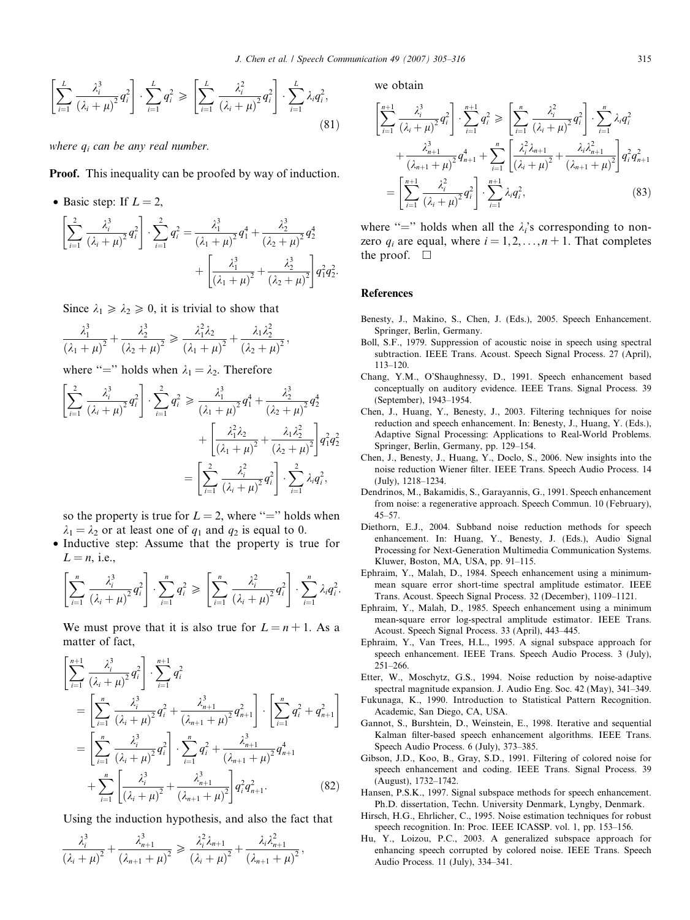<span id="page-10-0"></span>
$$
\left[\sum_{i=1}^{L} \frac{\lambda_i^3}{(\lambda_i + \mu)^2} q_i^2\right] \cdot \sum_{i=1}^{L} q_i^2 \ge \left[\sum_{i=1}^{L} \frac{\lambda_i^2}{(\lambda_i + \mu)^2} q_i^2\right] \cdot \sum_{i=1}^{L} \lambda_i q_i^2,
$$
\n(81)

where  $q_i$  can be any real number.

**Proof.** This inequality can be proofed by way of induction.

• Basic step: If  $L = 2$ ,

$$
\left[\sum_{i=1}^{2} \frac{\lambda_i^3}{(\lambda_i + \mu)^2} q_i^2\right] \cdot \sum_{i=1}^{2} q_i^2 = \frac{\lambda_1^3}{(\lambda_1 + \mu)^2} q_1^4 + \frac{\lambda_2^3}{(\lambda_2 + \mu)^2} q_2^4 + \left[\frac{\lambda_1^3}{(\lambda_1 + \mu)^2} + \frac{\lambda_2^3}{(\lambda_2 + \mu)^2}\right] q_1^2 q_2^2.
$$

Since  $\lambda_1 \geq \lambda_2 \geq 0$ , it is trivial to show that

$$
\frac{\lambda_1^3}{\left(\lambda_1+\mu\right)^2}+\frac{\lambda_2^3}{\left(\lambda_2+\mu\right)^2}\geqslant \frac{\lambda_1^2\lambda_2}{\left(\lambda_1+\mu\right)^2}+\frac{\lambda_1\lambda_2^2}{\left(\lambda_2+\mu\right)^2},
$$

where "=" holds when  $\lambda_1 = \lambda_2$ . Therefore

$$
\left[\sum_{i=1}^{2} \frac{\lambda_i^3}{(\lambda_i + \mu)^2} q_i^2\right] \cdot \sum_{i=1}^{2} q_i^2 \ge \frac{\lambda_1^3}{(\lambda_1 + \mu)^2} q_1^4 + \frac{\lambda_2^3}{(\lambda_2 + \mu)^2} q_2^4 + \left[\frac{\lambda_1^2 \lambda_2}{(\lambda_1 + \mu)^2} + \frac{\lambda_1 \lambda_2^2}{(\lambda_2 + \mu)^2}\right] q_1^2 q_2^2
$$

$$
= \left[\sum_{i=1}^{2} \frac{\lambda_i^2}{(\lambda_i + \mu)^2} q_i^2\right] \cdot \sum_{i=1}^{2} \lambda_i q_i^2,
$$

so the property is true for  $L = 2$ , where "=" holds when  $\lambda_1 = \lambda_2$  or at least one of  $q_1$  and  $q_2$  is equal to 0.

• Inductive step: Assume that the property is true for  $L = n$ , i.e.,

$$
\left[\sum_{i=1}^n \frac{\lambda_i^3}{(\lambda_i+\mu)^2} q_i^2\right] \cdot \sum_{i=1}^n q_i^2 \geqslant \left[\sum_{i=1}^n \frac{\lambda_i^2}{(\lambda_i+\mu)^2} q_i^2\right] \cdot \sum_{i=1}^n \lambda_i q_i^2.
$$

We must prove that it is also true for  $L = n + 1$ . As a matter of fact,

$$
\begin{split}\n&\left[\sum_{i=1}^{n+1} \frac{\lambda_i^3}{(\lambda_i + \mu)^2} q_i^2\right] \cdot \sum_{i=1}^{n+1} q_i^2 \\
&= \left[\sum_{i=1}^n \frac{\lambda_i^3}{(\lambda_i + \mu)^2} q_i^2 + \frac{\lambda_{n+1}^3}{(\lambda_{n+1} + \mu)^2} q_{n+1}^2\right] \cdot \left[\sum_{i=1}^n q_i^2 + q_{n+1}^2\right] \\
&= \left[\sum_{i=1}^n \frac{\lambda_i^3}{(\lambda_i + \mu)^2} q_i^2\right] \cdot \sum_{i=1}^n q_i^2 + \frac{\lambda_{n+1}^3}{(\lambda_{n+1} + \mu)^2} q_{n+1}^4 \\
&+ \sum_{i=1}^n \left[\frac{\lambda_i^3}{(\lambda_i + \mu)^2} + \frac{\lambda_{n+1}^3}{(\lambda_{n+1} + \mu)^2}\right] q_i^2 q_{n+1}^2.\n\end{split} \tag{82}
$$

Using the induction hypothesis, and also the fact that

$$
\frac{\lambda_i^3}{\left(\lambda_i+\mu\right)^2}+\frac{\lambda_{n+1}^3}{\left(\lambda_{n+1}+\mu\right)^2}\geqslant \frac{\lambda_i^2\lambda_{n+1}}{\left(\lambda_i+\mu\right)^2}+\frac{\lambda_i\lambda_{n+1}^2}{\left(\lambda_{n+1}+\mu\right)^2},
$$

we obtain

$$
\left[\sum_{i=1}^{n+1} \frac{\lambda_i^3}{(\lambda_i + \mu)^2} q_i^2\right] \cdot \sum_{i=1}^{n+1} q_i^2 \ge \left[\sum_{i=1}^n \frac{\lambda_i^2}{(\lambda_i + \mu)^2} q_i^2\right] \cdot \sum_{i=1}^n \lambda_i q_i^2
$$
  
+ 
$$
\frac{\lambda_{n+1}^3}{(\lambda_{n+1} + \mu)^2} q_{n+1}^4 + \sum_{i=1}^n \left[\frac{\lambda_i^2 \lambda_{n+1}}{(\lambda_i + \mu)^2} + \frac{\lambda_i \lambda_{n+1}^2}{(\lambda_{n+1} + \mu)^2}\right] q_i^2 q_{n+1}^2
$$
  
= 
$$
\left[\sum_{i=1}^{n+1} \frac{\lambda_i^2}{(\lambda_i + \mu)^2} q_i^2\right] \cdot \sum_{i=1}^{n+1} \lambda_i q_i^2,
$$
 (83)

where "=" holds when all the  $\lambda_i$ 's corresponding to nonzero  $q_i$  are equal, where  $i = 1, 2, \ldots, n + 1$ . That completes the proof.  $\Box$ 

## References

- Benesty, J., Makino, S., Chen, J. (Eds.), 2005. Speech Enhancement. Springer, Berlin, Germany.
- Boll, S.F., 1979. Suppression of acoustic noise in speech using spectral subtraction. IEEE Trans. Acoust. Speech Signal Process. 27 (April), 113–120.
- Chang, Y.M., O'Shaughnessy, D., 1991. Speech enhancement based conceptually on auditory evidence. IEEE Trans. Signal Process. 39 (September), 1943–1954.
- Chen, J., Huang, Y., Benesty, J., 2003. Filtering techniques for noise reduction and speech enhancement. In: Benesty, J., Huang, Y. (Eds.), Adaptive Signal Processing: Applications to Real-World Problems. Springer, Berlin, Germany, pp. 129–154.
- Chen, J., Benesty, J., Huang, Y., Doclo, S., 2006. New insights into the noise reduction Wiener filter. IEEE Trans. Speech Audio Process. 14 (July), 1218–1234.
- Dendrinos, M., Bakamidis, S., Garayannis, G., 1991. Speech enhancement from noise: a regenerative approach. Speech Commun. 10 (February), 45–57.
- Diethorn, E.J., 2004. Subband noise reduction methods for speech enhancement. In: Huang, Y., Benesty, J. (Eds.), Audio Signal Processing for Next-Generation Multimedia Communication Systems. Kluwer, Boston, MA, USA, pp. 91–115.
- Ephraim, Y., Malah, D., 1984. Speech enhancement using a minimummean square error short-time spectral amplitude estimator. IEEE Trans. Acoust. Speech Signal Process. 32 (December), 1109–1121.
- Ephraim, Y., Malah, D., 1985. Speech enhancement using a minimum mean-square error log-spectral amplitude estimator. IEEE Trans. Acoust. Speech Signal Process. 33 (April), 443–445.
- Ephraim, Y., Van Trees, H.L., 1995. A signal subspace approach for speech enhancement. IEEE Trans. Speech Audio Process. 3 (July), 251–266.
- Etter, W., Moschytz, G.S., 1994. Noise reduction by noise-adaptive spectral magnitude expansion. J. Audio Eng. Soc. 42 (May), 341–349.
- Fukunaga, K., 1990. Introduction to Statistical Pattern Recognition. Academic, San Diego, CA, USA.
- Gannot, S., Burshtein, D., Weinstein, E., 1998. Iterative and sequential Kalman filter-based speech enhancement algorithms. IEEE Trans. Speech Audio Process. 6 (July), 373–385.
- Gibson, J.D., Koo, B., Gray, S.D., 1991. Filtering of colored noise for speech enhancement and coding. IEEE Trans. Signal Process. 39 (August), 1732–1742.
- Hansen, P.S.K., 1997. Signal subspace methods for speech enhancement. Ph.D. dissertation, Techn. University Denmark, Lyngby, Denmark.
- Hirsch, H.G., Ehrlicher, C., 1995. Noise estimation techniques for robust speech recognition. In: Proc. IEEE ICASSP. vol. 1, pp. 153–156.
- Hu, Y., Loizou, P.C., 2003. A generalized subspace approach for enhancing speech corrupted by colored noise. IEEE Trans. Speech Audio Process. 11 (July), 334–341.